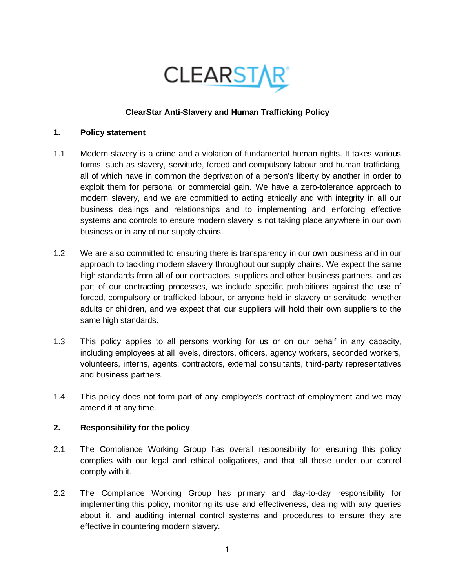

## **ClearStar Anti-Slavery and Human Trafficking Policy**

#### **1. Policy statement**

- 1.1 Modern slavery is a crime and a violation of fundamental human rights. It takes various forms, such as slavery, servitude, forced and compulsory labour and human trafficking, all of which have in common the deprivation of a person's liberty by another in order to exploit them for personal or commercial gain. We have a zero-tolerance approach to modern slavery, and we are committed to acting ethically and with integrity in all our business dealings and relationships and to implementing and enforcing effective systems and controls to ensure modern slavery is not taking place anywhere in our own business or in any of our supply chains.
- 1.2 We are also committed to ensuring there is transparency in our own business and in our approach to tackling modern slavery throughout our supply chains. We expect the same high standards from all of our contractors, suppliers and other business partners, and as part of our contracting processes, we include specific prohibitions against the use of forced, compulsory or trafficked labour, or anyone held in slavery or servitude, whether adults or children, and we expect that our suppliers will hold their own suppliers to the same high standards.
- 1.3 This policy applies to all persons working for us or on our behalf in any capacity, including employees at all levels, directors, officers, agency workers, seconded workers, volunteers, interns, agents, contractors, external consultants, third-party representatives and business partners.
- 1.4 This policy does not form part of any employee's contract of employment and we may amend it at any time.

### **2. Responsibility for the policy**

- 2.1 The Compliance Working Group has overall responsibility for ensuring this policy complies with our legal and ethical obligations, and that all those under our control comply with it.
- 2.2 The Compliance Working Group has primary and day-to-day responsibility for implementing this policy, monitoring its use and effectiveness, dealing with any queries about it, and auditing internal control systems and procedures to ensure they are effective in countering modern slavery.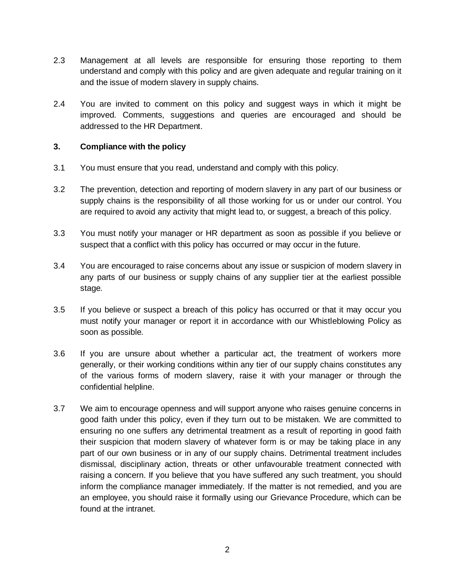- 2.3 Management at all levels are responsible for ensuring those reporting to them understand and comply with this policy and are given adequate and regular training on it and the issue of modern slavery in supply chains.
- 2.4 You are invited to comment on this policy and suggest ways in which it might be improved. Comments, suggestions and queries are encouraged and should be addressed to the HR Department.

#### **3. Compliance with the policy**

- 3.1 You must ensure that you read, understand and comply with this policy.
- 3.2 The prevention, detection and reporting of modern slavery in any part of our business or supply chains is the responsibility of all those working for us or under our control. You are required to avoid any activity that might lead to, or suggest, a breach of this policy.
- 3.3 You must notify your manager or HR department as soon as possible if you believe or suspect that a conflict with this policy has occurred or may occur in the future.
- 3.4 You are encouraged to raise concerns about any issue or suspicion of modern slavery in any parts of our business or supply chains of any supplier tier at the earliest possible stage.
- 3.5 If you believe or suspect a breach of this policy has occurred or that it may occur you must notify your manager or report it in accordance with our Whistleblowing Policy as soon as possible.
- 3.6 If you are unsure about whether a particular act, the treatment of workers more generally, or their working conditions within any tier of our supply chains constitutes any of the various forms of modern slavery, raise it with your manager or through the confidential helpline.
- 3.7 We aim to encourage openness and will support anyone who raises genuine concerns in good faith under this policy, even if they turn out to be mistaken. We are committed to ensuring no one suffers any detrimental treatment as a result of reporting in good faith their suspicion that modern slavery of whatever form is or may be taking place in any part of our own business or in any of our supply chains. Detrimental treatment includes dismissal, disciplinary action, threats or other unfavourable treatment connected with raising a concern. If you believe that you have suffered any such treatment, you should inform the compliance manager immediately. If the matter is not remedied, and you are an employee, you should raise it formally using our Grievance Procedure, which can be found at the intranet.